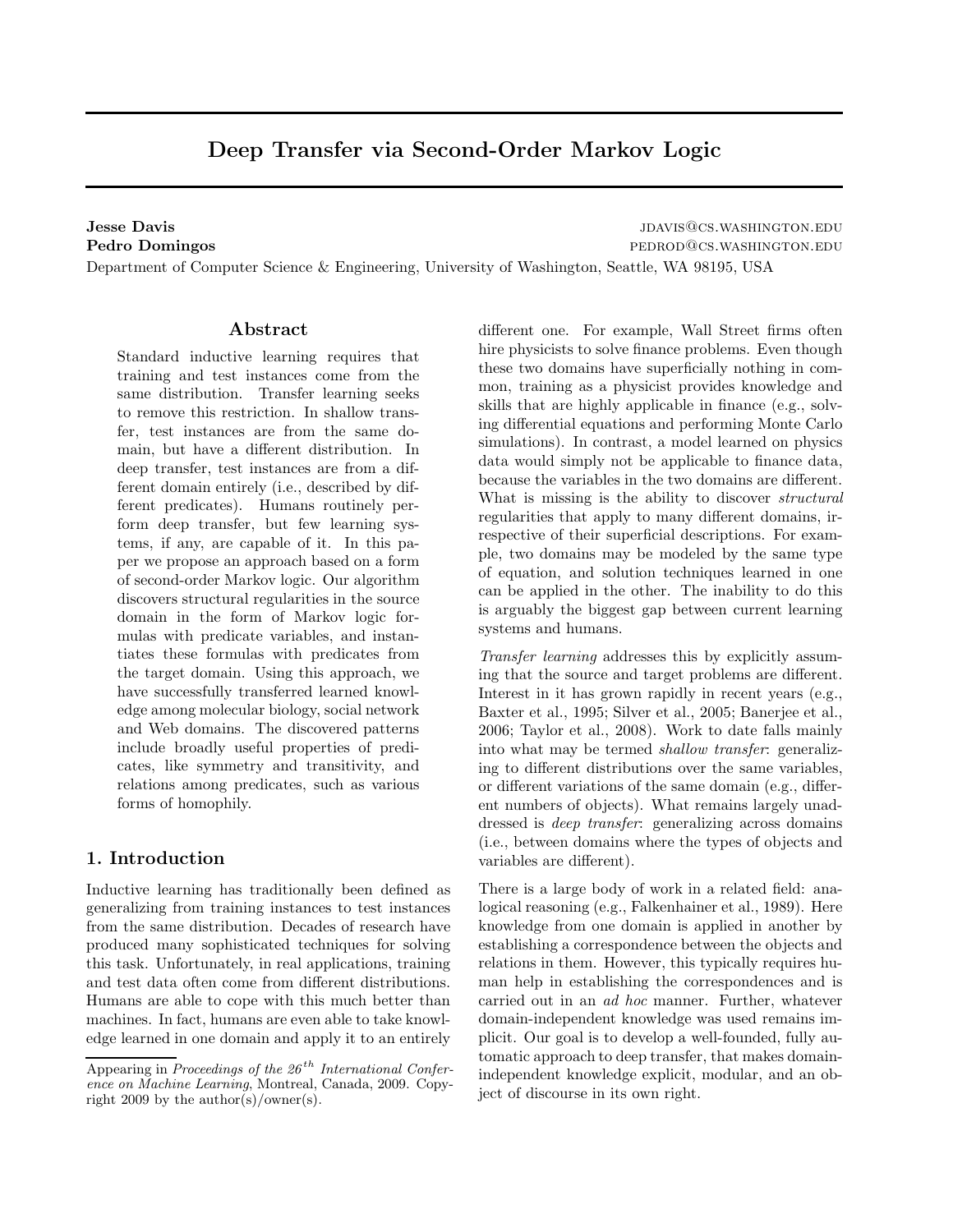# Deep Transfer via Second-Order Markov Logic

**Jesse Davis JESSE Davis JULIAN AND SERVIS CONSUMING A LIMITED AND SERVIS CONSUMING TO A LIMITED UP OF SERVIS CONSUMING TO A LIMITED UP OF SERVIS CONSUMING TO A LIMITED OF SERVIS CONSUMING TO A LIMITED OF SERVIS CONSUM** Pedro Domingos **pedro Domingos** pedrodos.washington.edu

Department of Computer Science & Engineering, University of Washington, Seattle, WA 98195, USA

# Abstract

Standard inductive learning requires that training and test instances come from the same distribution. Transfer learning seeks to remove this restriction. In shallow transfer, test instances are from the same domain, but have a different distribution. In deep transfer, test instances are from a different domain entirely (i.e., described by different predicates). Humans routinely perform deep transfer, but few learning systems, if any, are capable of it. In this paper we propose an approach based on a form of second-order Markov logic. Our algorithm discovers structural regularities in the source domain in the form of Markov logic formulas with predicate variables, and instantiates these formulas with predicates from the target domain. Using this approach, we have successfully transferred learned knowledge among molecular biology, social network and Web domains. The discovered patterns include broadly useful properties of predicates, like symmetry and transitivity, and relations among predicates, such as various forms of homophily.

# 1. Introduction

Inductive learning has traditionally been defined as generalizing from training instances to test instances from the same distribution. Decades of research have produced many sophisticated techniques for solving this task. Unfortunately, in real applications, training and test data often come from different distributions. Humans are able to cope with this much better than machines. In fact, humans are even able to take knowledge learned in one domain and apply it to an entirely different one. For example, Wall Street firms often hire physicists to solve finance problems. Even though these two domains have superficially nothing in common, training as a physicist provides knowledge and skills that are highly applicable in finance (e.g., solving differential equations and performing Monte Carlo simulations). In contrast, a model learned on physics data would simply not be applicable to finance data, because the variables in the two domains are different. What is missing is the ability to discover *structural* regularities that apply to many different domains, irrespective of their superficial descriptions. For example, two domains may be modeled by the same type of equation, and solution techniques learned in one can be applied in the other. The inability to do this is arguably the biggest gap between current learning systems and humans.

Transfer learning addresses this by explicitly assuming that the source and target problems are different. Interest in it has grown rapidly in recent years (e.g., Baxter et al., 1995; Silver et al., 2005; Banerjee et al., 2006; Taylor et al., 2008). Work to date falls mainly into what may be termed shallow transfer: generalizing to different distributions over the same variables, or different variations of the same domain (e.g., different numbers of objects). What remains largely unaddressed is deep transfer: generalizing across domains (i.e., between domains where the types of objects and variables are different).

There is a large body of work in a related field: analogical reasoning (e.g., Falkenhainer et al., 1989). Here knowledge from one domain is applied in another by establishing a correspondence between the objects and relations in them. However, this typically requires human help in establishing the correspondences and is carried out in an ad hoc manner. Further, whatever domain-independent knowledge was used remains implicit. Our goal is to develop a well-founded, fully automatic approach to deep transfer, that makes domainindependent knowledge explicit, modular, and an object of discourse in its own right.

Appearing in Proceedings of the  $26<sup>th</sup> International Confer$ ence on Machine Learning, Montreal, Canada, 2009. Copyright 2009 by the author(s)/owner(s).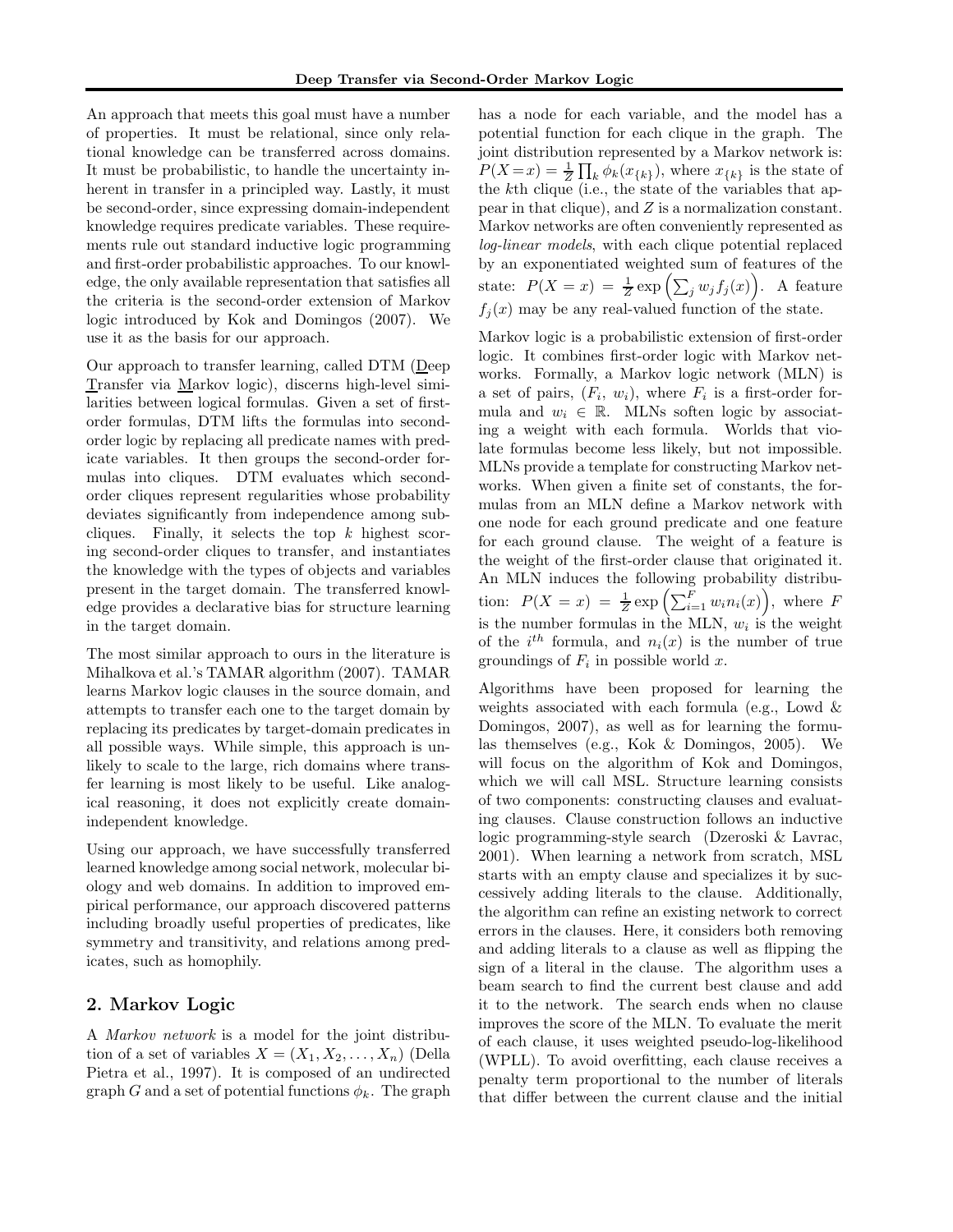An approach that meets this goal must have a number of properties. It must be relational, since only relational knowledge can be transferred across domains. It must be probabilistic, to handle the uncertainty inherent in transfer in a principled way. Lastly, it must be second-order, since expressing domain-independent knowledge requires predicate variables. These requirements rule out standard inductive logic programming and first-order probabilistic approaches. To our knowledge, the only available representation that satisfies all the criteria is the second-order extension of Markov logic introduced by Kok and Domingos (2007). We use it as the basis for our approach.

Our approach to transfer learning, called DTM (Deep Transfer via Markov logic), discerns high-level similarities between logical formulas. Given a set of firstorder formulas, DTM lifts the formulas into secondorder logic by replacing all predicate names with predicate variables. It then groups the second-order formulas into cliques. DTM evaluates which secondorder cliques represent regularities whose probability deviates significantly from independence among subcliques. Finally, it selects the top  $k$  highest scoring second-order cliques to transfer, and instantiates the knowledge with the types of objects and variables present in the target domain. The transferred knowledge provides a declarative bias for structure learning in the target domain.

The most similar approach to ours in the literature is Mihalkova et al.'s TAMAR algorithm (2007). TAMAR learns Markov logic clauses in the source domain, and attempts to transfer each one to the target domain by replacing its predicates by target-domain predicates in all possible ways. While simple, this approach is unlikely to scale to the large, rich domains where transfer learning is most likely to be useful. Like analogical reasoning, it does not explicitly create domainindependent knowledge.

Using our approach, we have successfully transferred learned knowledge among social network, molecular biology and web domains. In addition to improved empirical performance, our approach discovered patterns including broadly useful properties of predicates, like symmetry and transitivity, and relations among predicates, such as homophily.

# 2. Markov Logic

A Markov network is a model for the joint distribution of a set of variables  $X = (X_1, X_2, \ldots, X_n)$  (Della Pietra et al., 1997). It is composed of an undirected graph G and a set of potential functions  $\phi_k$ . The graph has a node for each variable, and the model has a potential function for each clique in the graph. The joint distribution represented by a Markov network is:  $P(X=x) = \frac{1}{Z} \prod_k \phi_k(x_{\{k\}}),$  where  $x_{\{k\}}$  is the state of the kth clique (i.e., the state of the variables that appear in that clique), and Z is a normalization constant. Markov networks are often conveniently represented as log-linear models, with each clique potential replaced by an exponentiated weighted sum of features of the state:  $P(X = x) = \frac{1}{Z} \exp\left(\sum_j w_j f_j(x)\right)$ . A feature  $f_j(x)$  may be any real-valued function of the state.

Markov logic is a probabilistic extension of first-order logic. It combines first-order logic with Markov networks. Formally, a Markov logic network (MLN) is a set of pairs,  $(F_i, w_i)$ , where  $F_i$  is a first-order formula and  $w_i \in \mathbb{R}$ . MLNs soften logic by associating a weight with each formula. Worlds that violate formulas become less likely, but not impossible. MLNs provide a template for constructing Markov networks. When given a finite set of constants, the formulas from an MLN define a Markov network with one node for each ground predicate and one feature for each ground clause. The weight of a feature is the weight of the first-order clause that originated it. An MLN induces the following probability distribution:  $P(X = x) = \frac{1}{Z} \exp\left(\sum_{i=1}^{F} w_i n_i(x)\right)$ , where F is the number formulas in the MLN,  $w_i$  is the weight of the  $i^{th}$  formula, and  $n_i(x)$  is the number of true groundings of  $F_i$  in possible world x.

Algorithms have been proposed for learning the weights associated with each formula (e.g., Lowd & Domingos, 2007), as well as for learning the formulas themselves (e.g., Kok & Domingos, 2005). We will focus on the algorithm of Kok and Domingos, which we will call MSL. Structure learning consists of two components: constructing clauses and evaluating clauses. Clause construction follows an inductive logic programming-style search (Dzeroski & Lavrac, 2001). When learning a network from scratch, MSL starts with an empty clause and specializes it by successively adding literals to the clause. Additionally, the algorithm can refine an existing network to correct errors in the clauses. Here, it considers both removing and adding literals to a clause as well as flipping the sign of a literal in the clause. The algorithm uses a beam search to find the current best clause and add it to the network. The search ends when no clause improves the score of the MLN. To evaluate the merit of each clause, it uses weighted pseudo-log-likelihood (WPLL). To avoid overfitting, each clause receives a penalty term proportional to the number of literals that differ between the current clause and the initial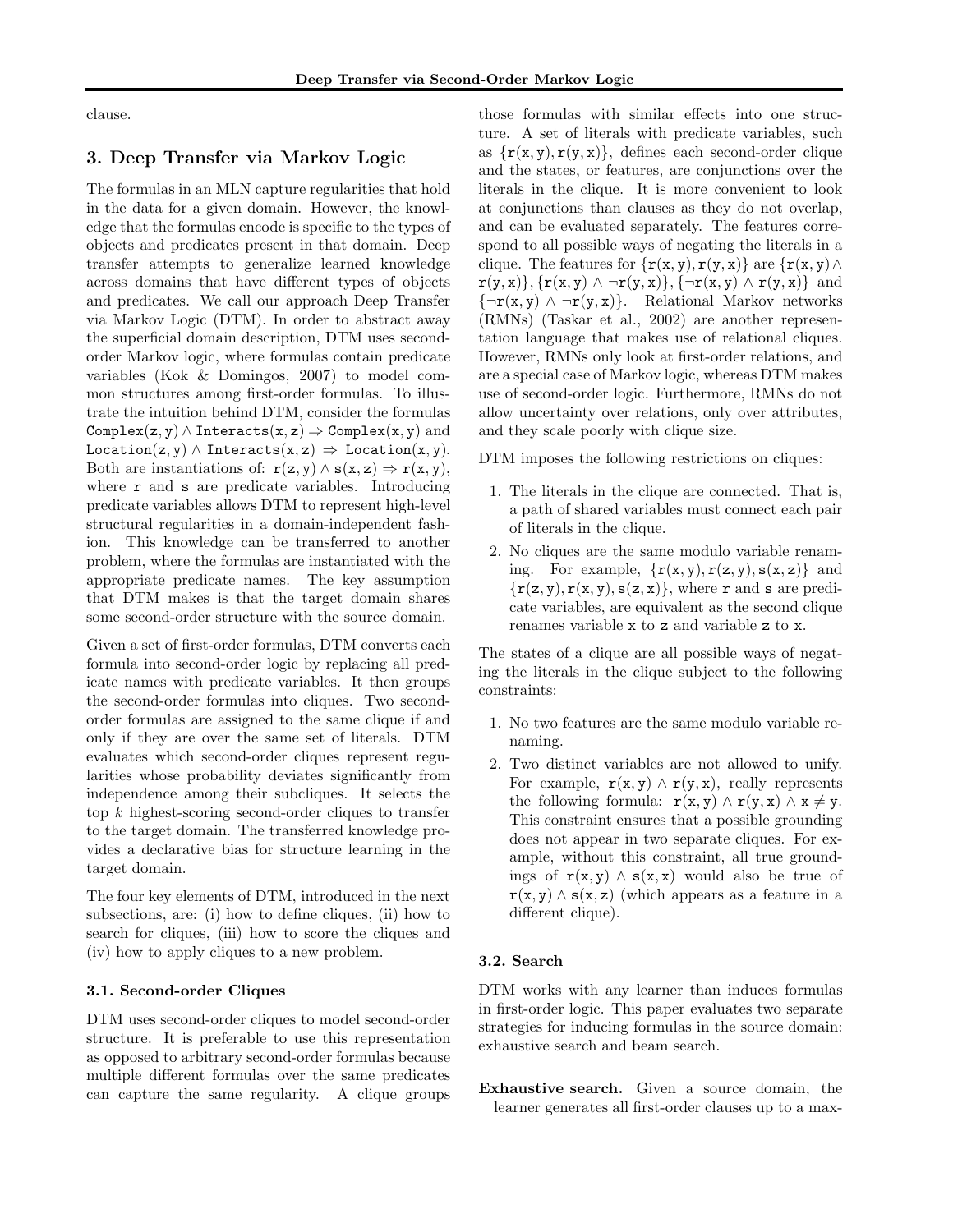clause.

# 3. Deep Transfer via Markov Logic

The formulas in an MLN capture regularities that hold in the data for a given domain. However, the knowledge that the formulas encode is specific to the types of objects and predicates present in that domain. Deep transfer attempts to generalize learned knowledge across domains that have different types of objects and predicates. We call our approach Deep Transfer via Markov Logic (DTM). In order to abstract away the superficial domain description, DTM uses secondorder Markov logic, where formulas contain predicate variables (Kok & Domingos, 2007) to model common structures among first-order formulas. To illustrate the intuition behind DTM, consider the formulas  $Complex(z, y) \wedge Interacts(x, z) \Rightarrow Complex(x, y)$  and Location(z, y)  $\land$  Interacts(x, z)  $\Rightarrow$  Location(x, y). Both are instantiations of:  $r(z, y) \wedge s(x, z) \Rightarrow r(x, y)$ , where **r** and **s** are predicate variables. Introducing predicate variables allows DTM to represent high-level structural regularities in a domain-independent fashion. This knowledge can be transferred to another problem, where the formulas are instantiated with the appropriate predicate names. The key assumption that DTM makes is that the target domain shares some second-order structure with the source domain.

Given a set of first-order formulas, DTM converts each formula into second-order logic by replacing all predicate names with predicate variables. It then groups the second-order formulas into cliques. Two secondorder formulas are assigned to the same clique if and only if they are over the same set of literals. DTM evaluates which second-order cliques represent regularities whose probability deviates significantly from independence among their subcliques. It selects the top k highest-scoring second-order cliques to transfer to the target domain. The transferred knowledge provides a declarative bias for structure learning in the target domain.

The four key elements of DTM, introduced in the next subsections, are: (i) how to define cliques, (ii) how to search for cliques, (iii) how to score the cliques and (iv) how to apply cliques to a new problem.

### 3.1. Second-order Cliques

DTM uses second-order cliques to model second-order structure. It is preferable to use this representation as opposed to arbitrary second-order formulas because multiple different formulas over the same predicates can capture the same regularity. A clique groups

those formulas with similar effects into one structure. A set of literals with predicate variables, such as  $\{r(x, y), r(y, x)\}\$ , defines each second-order clique and the states, or features, are conjunctions over the literals in the clique. It is more convenient to look at conjunctions than clauses as they do not overlap, and can be evaluated separately. The features correspond to all possible ways of negating the literals in a clique. The features for  $\{r(x, y), r(y, x)\}\$ are  $\{r(x, y) \wedge r(y, x)\}$  $r(y, x)$ ,  $\{r(x, y) \wedge \neg r(y, x)\}$ ,  $\{\neg r(x, y) \wedge r(y, x)\}$  and  $\{\neg r(x, y) \land \neg r(y, x)\}.$  Relational Markov networks (RMNs) (Taskar et al., 2002) are another representation language that makes use of relational cliques. However, RMNs only look at first-order relations, and are a special case of Markov logic, whereas DTM makes use of second-order logic. Furthermore, RMNs do not allow uncertainty over relations, only over attributes, and they scale poorly with clique size.

DTM imposes the following restrictions on cliques:

- 1. The literals in the clique are connected. That is, a path of shared variables must connect each pair of literals in the clique.
- 2. No cliques are the same modulo variable renaming. For example,  $\{r(x, y), r(z, y), s(x, z)\}\$  and  $\{r(z, y), r(x, y), s(z, x)\}\$ , where r and s are predicate variables, are equivalent as the second clique renames variable x to z and variable z to x.

The states of a clique are all possible ways of negating the literals in the clique subject to the following constraints:

- 1. No two features are the same modulo variable renaming.
- 2. Two distinct variables are not allowed to unify. For example,  $\mathbf{r}(x, y) \wedge \mathbf{r}(y, x)$ , really represents the following formula:  $\mathbf{r}(x, y) \wedge \mathbf{r}(y, x) \wedge x \neq y$ . This constraint ensures that a possible grounding does not appear in two separate cliques. For example, without this constraint, all true groundings of  $r(x, y) \wedge s(x, x)$  would also be true of  $\mathbf{r}(\mathbf{x}, \mathbf{y}) \wedge \mathbf{s}(\mathbf{x}, \mathbf{z})$  (which appears as a feature in a different clique).

#### 3.2. Search

DTM works with any learner than induces formulas in first-order logic. This paper evaluates two separate strategies for inducing formulas in the source domain: exhaustive search and beam search.

Exhaustive search. Given a source domain, the learner generates all first-order clauses up to a max-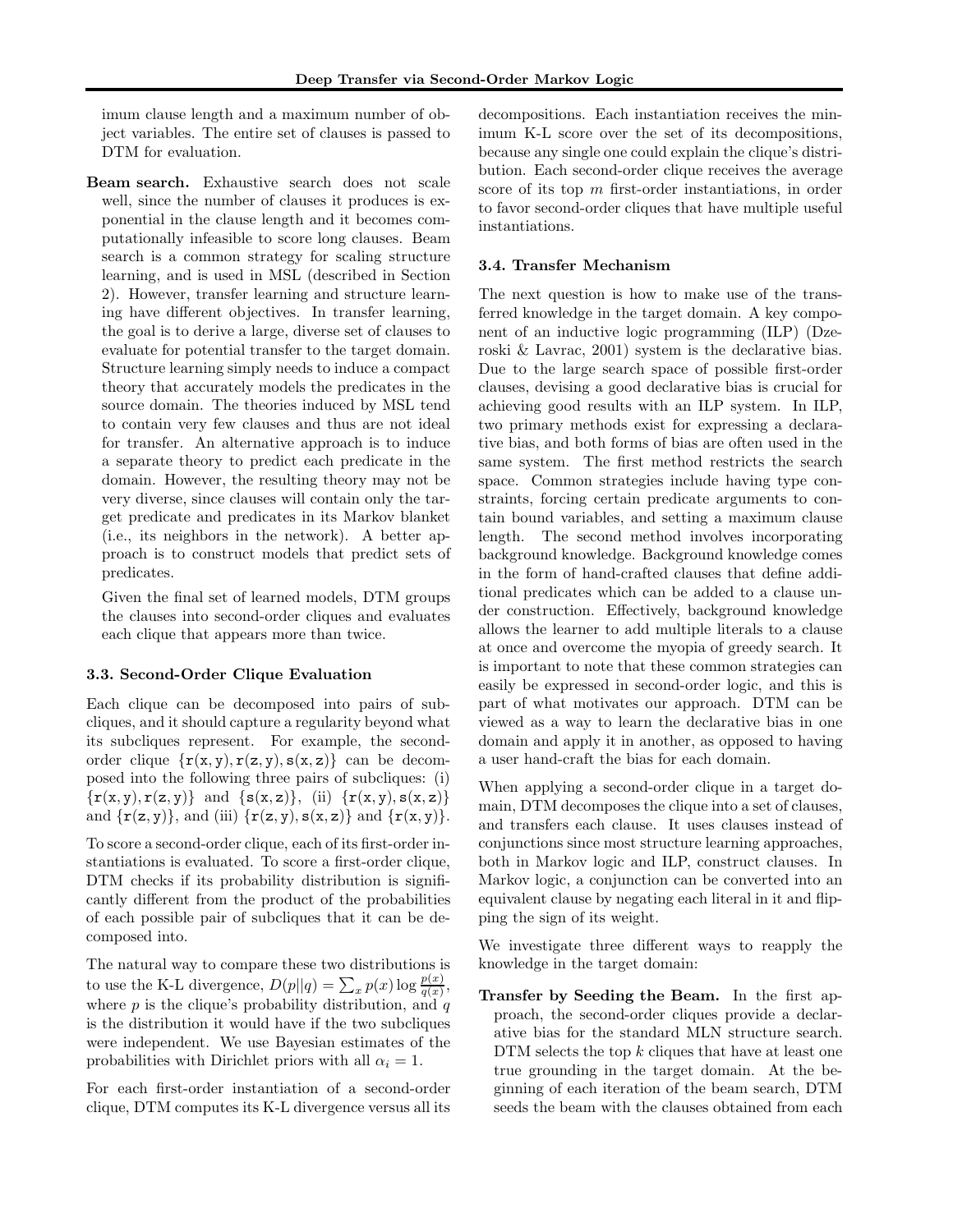imum clause length and a maximum number of object variables. The entire set of clauses is passed to DTM for evaluation.

Beam search. Exhaustive search does not scale well, since the number of clauses it produces is exponential in the clause length and it becomes computationally infeasible to score long clauses. Beam search is a common strategy for scaling structure learning, and is used in MSL (described in Section 2). However, transfer learning and structure learning have different objectives. In transfer learning, the goal is to derive a large, diverse set of clauses to evaluate for potential transfer to the target domain. Structure learning simply needs to induce a compact theory that accurately models the predicates in the source domain. The theories induced by MSL tend to contain very few clauses and thus are not ideal for transfer. An alternative approach is to induce a separate theory to predict each predicate in the domain. However, the resulting theory may not be very diverse, since clauses will contain only the target predicate and predicates in its Markov blanket (i.e., its neighbors in the network). A better approach is to construct models that predict sets of predicates.

Given the final set of learned models, DTM groups the clauses into second-order cliques and evaluates each clique that appears more than twice.

# 3.3. Second-Order Clique Evaluation

Each clique can be decomposed into pairs of subcliques, and it should capture a regularity beyond what its subcliques represent. For example, the secondorder clique  $\{r(x, y), r(z, y), s(x, z)\}\)$  can be decomposed into the following three pairs of subcliques: (i)  $\{r(x, y), r(z, y)\}\$ and  $\{s(x, z)\}\$ , (ii)  $\{r(x, y), s(x, z)\}\$ and  $\{r(z, y)\}\$ , and (iii)  $\{r(z, y), s(x, z)\}\$  and  $\{r(x, y)\}\$ .

To score a second-order clique, each of its first-order instantiations is evaluated. To score a first-order clique, DTM checks if its probability distribution is significantly different from the product of the probabilities of each possible pair of subcliques that it can be decomposed into.

The natural way to compare these two distributions is to use the K-L divergence,  $D(p||q) = \sum_x p(x) \log \frac{p(x)}{q(x)}$ , where  $p$  is the clique's probability distribution, and  $q$ is the distribution it would have if the two subcliques were independent. We use Bayesian estimates of the probabilities with Dirichlet priors with all  $\alpha_i = 1$ .

For each first-order instantiation of a second-order clique, DTM computes its K-L divergence versus all its decompositions. Each instantiation receives the minimum K-L score over the set of its decompositions, because any single one could explain the clique's distribution. Each second-order clique receives the average score of its top m first-order instantiations, in order to favor second-order cliques that have multiple useful instantiations.

#### 3.4. Transfer Mechanism

The next question is how to make use of the transferred knowledge in the target domain. A key component of an inductive logic programming (ILP) (Dzeroski & Lavrac, 2001) system is the declarative bias. Due to the large search space of possible first-order clauses, devising a good declarative bias is crucial for achieving good results with an ILP system. In ILP, two primary methods exist for expressing a declarative bias, and both forms of bias are often used in the same system. The first method restricts the search space. Common strategies include having type constraints, forcing certain predicate arguments to contain bound variables, and setting a maximum clause length. The second method involves incorporating background knowledge. Background knowledge comes in the form of hand-crafted clauses that define additional predicates which can be added to a clause under construction. Effectively, background knowledge allows the learner to add multiple literals to a clause at once and overcome the myopia of greedy search. It is important to note that these common strategies can easily be expressed in second-order logic, and this is part of what motivates our approach. DTM can be viewed as a way to learn the declarative bias in one domain and apply it in another, as opposed to having a user hand-craft the bias for each domain.

When applying a second-order clique in a target domain, DTM decomposes the clique into a set of clauses, and transfers each clause. It uses clauses instead of conjunctions since most structure learning approaches, both in Markov logic and ILP, construct clauses. In Markov logic, a conjunction can be converted into an equivalent clause by negating each literal in it and flipping the sign of its weight.

We investigate three different ways to reapply the knowledge in the target domain:

Transfer by Seeding the Beam. In the first approach, the second-order cliques provide a declarative bias for the standard MLN structure search. DTM selects the top  $k$  cliques that have at least one true grounding in the target domain. At the beginning of each iteration of the beam search, DTM seeds the beam with the clauses obtained from each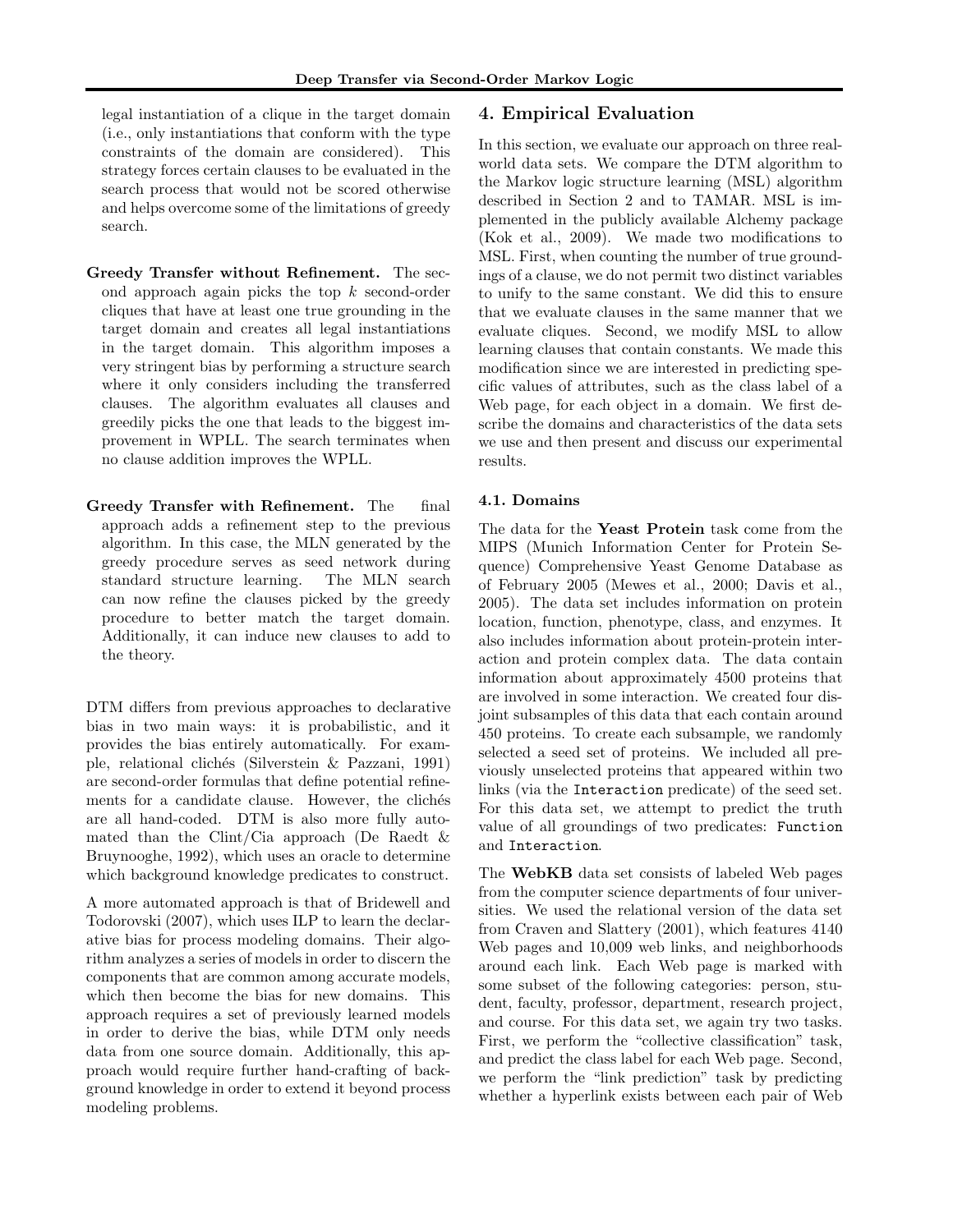legal instantiation of a clique in the target domain (i.e., only instantiations that conform with the type constraints of the domain are considered). This strategy forces certain clauses to be evaluated in the search process that would not be scored otherwise and helps overcome some of the limitations of greedy search.

- Greedy Transfer without Refinement. The second approach again picks the top  $k$  second-order cliques that have at least one true grounding in the target domain and creates all legal instantiations in the target domain. This algorithm imposes a very stringent bias by performing a structure search where it only considers including the transferred clauses. The algorithm evaluates all clauses and greedily picks the one that leads to the biggest improvement in WPLL. The search terminates when no clause addition improves the WPLL.
- Greedy Transfer with Refinement. The final approach adds a refinement step to the previous algorithm. In this case, the MLN generated by the greedy procedure serves as seed network during standard structure learning. The MLN search can now refine the clauses picked by the greedy procedure to better match the target domain. Additionally, it can induce new clauses to add to the theory.

DTM differs from previous approaches to declarative bias in two main ways: it is probabilistic, and it provides the bias entirely automatically. For example, relational clich´es (Silverstein & Pazzani, 1991) are second-order formulas that define potential refinements for a candidate clause. However, the clichés are all hand-coded. DTM is also more fully automated than the Clint/Cia approach (De Raedt & Bruynooghe, 1992), which uses an oracle to determine which background knowledge predicates to construct.

A more automated approach is that of Bridewell and Todorovski (2007), which uses ILP to learn the declarative bias for process modeling domains. Their algorithm analyzes a series of models in order to discern the components that are common among accurate models, which then become the bias for new domains. This approach requires a set of previously learned models in order to derive the bias, while DTM only needs data from one source domain. Additionally, this approach would require further hand-crafting of background knowledge in order to extend it beyond process modeling problems.

## 4. Empirical Evaluation

In this section, we evaluate our approach on three realworld data sets. We compare the DTM algorithm to the Markov logic structure learning (MSL) algorithm described in Section 2 and to TAMAR. MSL is implemented in the publicly available Alchemy package (Kok et al., 2009). We made two modifications to MSL. First, when counting the number of true groundings of a clause, we do not permit two distinct variables to unify to the same constant. We did this to ensure that we evaluate clauses in the same manner that we evaluate cliques. Second, we modify MSL to allow learning clauses that contain constants. We made this modification since we are interested in predicting specific values of attributes, such as the class label of a Web page, for each object in a domain. We first describe the domains and characteristics of the data sets we use and then present and discuss our experimental results.

### 4.1. Domains

The data for the Yeast Protein task come from the MIPS (Munich Information Center for Protein Sequence) Comprehensive Yeast Genome Database as of February 2005 (Mewes et al., 2000; Davis et al., 2005). The data set includes information on protein location, function, phenotype, class, and enzymes. It also includes information about protein-protein interaction and protein complex data. The data contain information about approximately 4500 proteins that are involved in some interaction. We created four disjoint subsamples of this data that each contain around 450 proteins. To create each subsample, we randomly selected a seed set of proteins. We included all previously unselected proteins that appeared within two links (via the Interaction predicate) of the seed set. For this data set, we attempt to predict the truth value of all groundings of two predicates: Function and Interaction.

The WebKB data set consists of labeled Web pages from the computer science departments of four universities. We used the relational version of the data set from Craven and Slattery (2001), which features 4140 Web pages and 10,009 web links, and neighborhoods around each link. Each Web page is marked with some subset of the following categories: person, student, faculty, professor, department, research project, and course. For this data set, we again try two tasks. First, we perform the "collective classification" task, and predict the class label for each Web page. Second, we perform the "link prediction" task by predicting whether a hyperlink exists between each pair of Web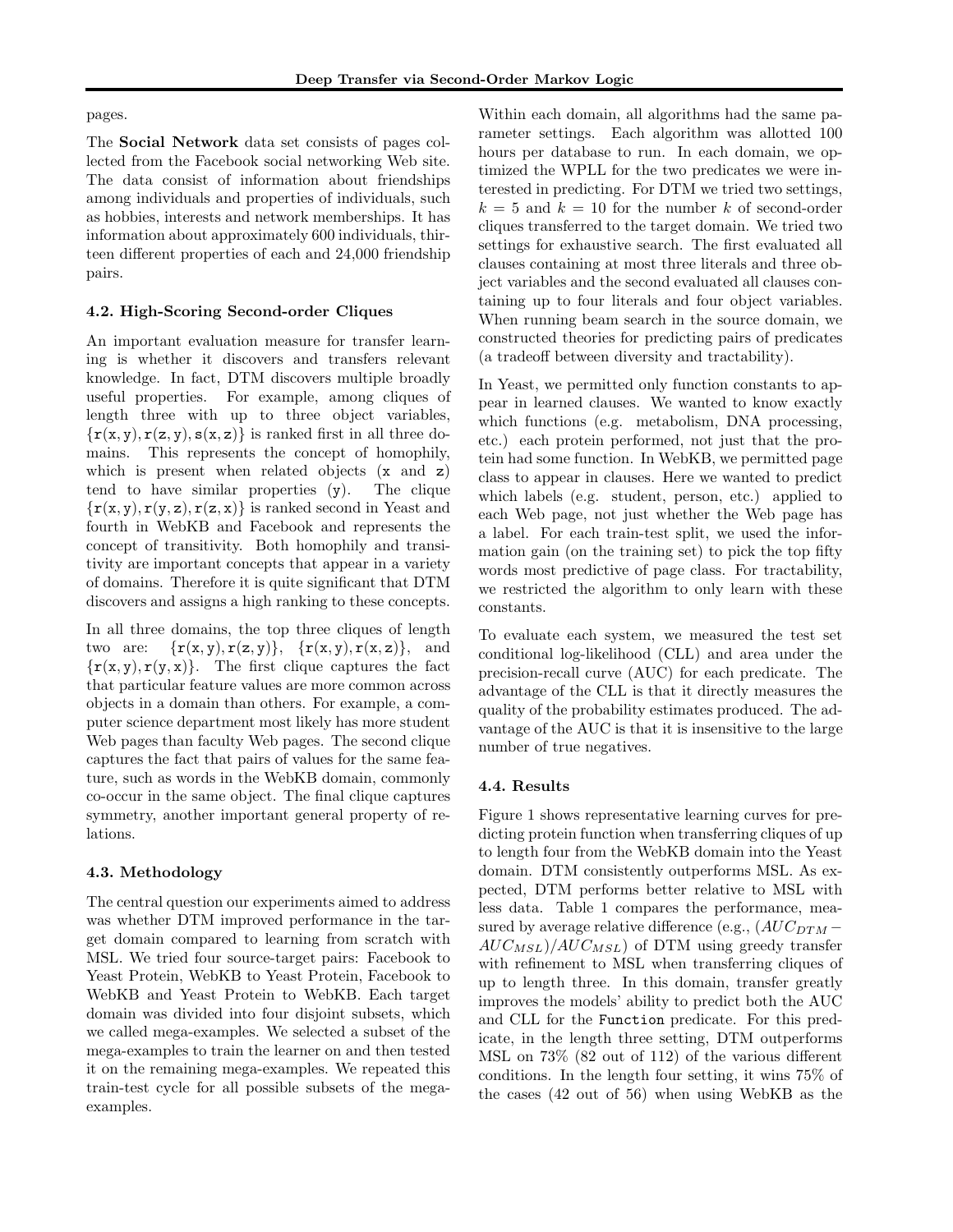#### pages.

The Social Network data set consists of pages collected from the Facebook social networking Web site. The data consist of information about friendships among individuals and properties of individuals, such as hobbies, interests and network memberships. It has information about approximately 600 individuals, thirteen different properties of each and 24,000 friendship pairs.

## 4.2. High-Scoring Second-order Cliques

An important evaluation measure for transfer learning is whether it discovers and transfers relevant knowledge. In fact, DTM discovers multiple broadly useful properties. For example, among cliques of length three with up to three object variables,  $\{r(x, y), r(z, y), s(x, z)\}\$ is ranked first in all three domains. This represents the concept of homophily, which is present when related objects  $(x \text{ and } z)$ tend to have similar properties (y). The clique  $\{r(x, y), r(y, z), r(z, x)\}\$ is ranked second in Yeast and fourth in WebKB and Facebook and represents the concept of transitivity. Both homophily and transitivity are important concepts that appear in a variety of domains. Therefore it is quite significant that DTM discovers and assigns a high ranking to these concepts.

In all three domains, the top three cliques of length two are:  $\{r(x, y), r(z, y)\}, \{r(x, y), r(x, z)\}, \text{ and}$  $\{r(x, y), r(y, x)\}.$  The first clique captures the fact that particular feature values are more common across objects in a domain than others. For example, a computer science department most likely has more student Web pages than faculty Web pages. The second clique captures the fact that pairs of values for the same feature, such as words in the WebKB domain, commonly co-occur in the same object. The final clique captures symmetry, another important general property of relations.

## 4.3. Methodology

The central question our experiments aimed to address was whether DTM improved performance in the target domain compared to learning from scratch with MSL. We tried four source-target pairs: Facebook to Yeast Protein, WebKB to Yeast Protein, Facebook to WebKB and Yeast Protein to WebKB. Each target domain was divided into four disjoint subsets, which we called mega-examples. We selected a subset of the mega-examples to train the learner on and then tested it on the remaining mega-examples. We repeated this train-test cycle for all possible subsets of the megaexamples.

Within each domain, all algorithms had the same parameter settings. Each algorithm was allotted 100 hours per database to run. In each domain, we optimized the WPLL for the two predicates we were interested in predicting. For DTM we tried two settings,  $k = 5$  and  $k = 10$  for the number k of second-order cliques transferred to the target domain. We tried two settings for exhaustive search. The first evaluated all clauses containing at most three literals and three object variables and the second evaluated all clauses containing up to four literals and four object variables. When running beam search in the source domain, we constructed theories for predicting pairs of predicates (a tradeoff between diversity and tractability).

In Yeast, we permitted only function constants to appear in learned clauses. We wanted to know exactly which functions (e.g. metabolism, DNA processing, etc.) each protein performed, not just that the protein had some function. In WebKB, we permitted page class to appear in clauses. Here we wanted to predict which labels (e.g. student, person, etc.) applied to each Web page, not just whether the Web page has a label. For each train-test split, we used the information gain (on the training set) to pick the top fifty words most predictive of page class. For tractability, we restricted the algorithm to only learn with these constants.

To evaluate each system, we measured the test set conditional log-likelihood (CLL) and area under the precision-recall curve (AUC) for each predicate. The advantage of the CLL is that it directly measures the quality of the probability estimates produced. The advantage of the AUC is that it is insensitive to the large number of true negatives.

## 4.4. Results

Figure 1 shows representative learning curves for predicting protein function when transferring cliques of up to length four from the WebKB domain into the Yeast domain. DTM consistently outperforms MSL. As expected, DTM performs better relative to MSL with less data. Table 1 compares the performance, measured by average relative difference (e.g.,  $(AUC_{DTM}$  –  $AUC_{MSL}/AUC_{MSL}$  of DTM using greedy transfer with refinement to MSL when transferring cliques of up to length three. In this domain, transfer greatly improves the models' ability to predict both the AUC and CLL for the Function predicate. For this predicate, in the length three setting, DTM outperforms MSL on 73% (82 out of 112) of the various different conditions. In the length four setting, it wins 75% of the cases (42 out of 56) when using WebKB as the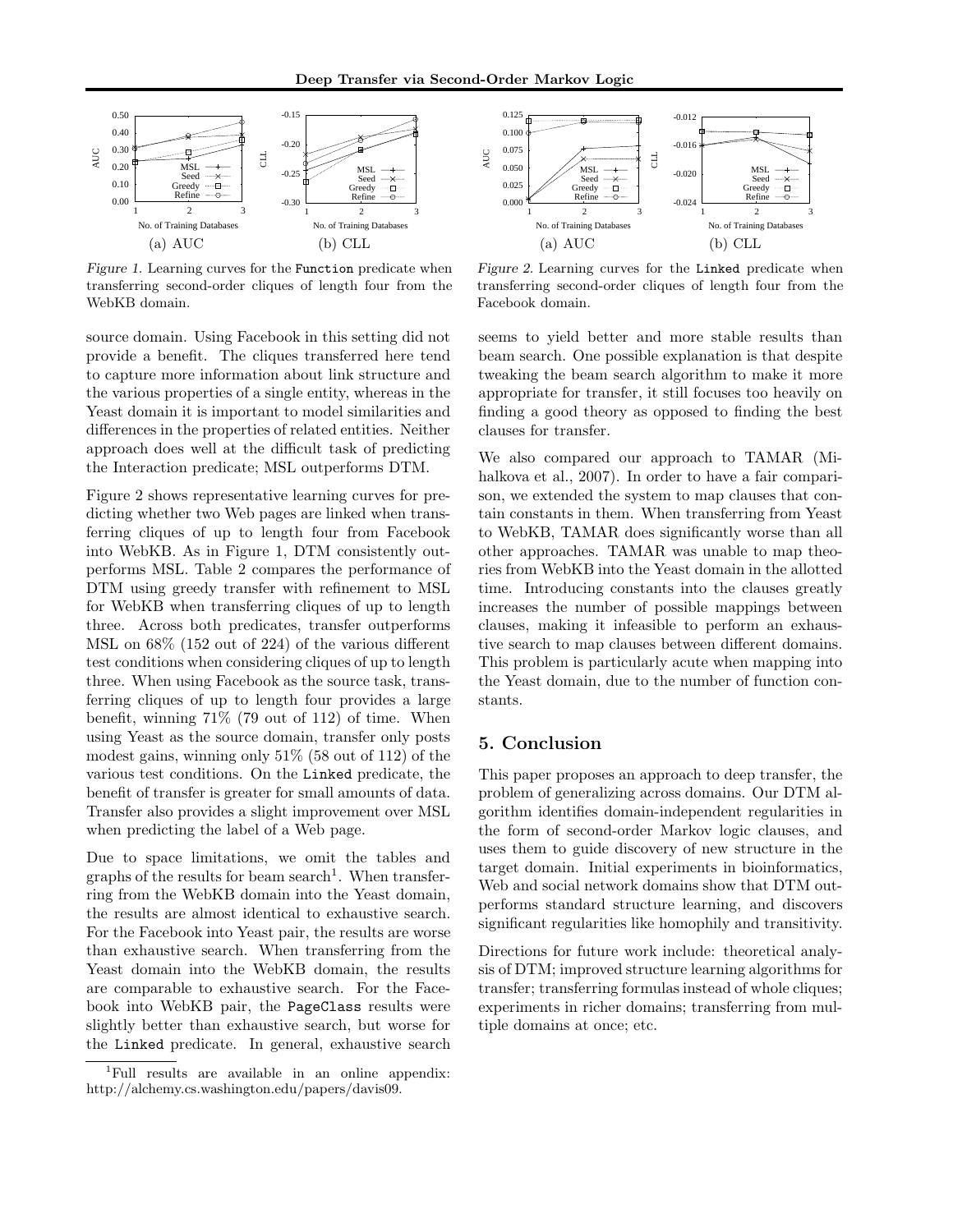

Figure 1. Learning curves for the Function predicate when transferring second-order cliques of length four from the WebKB domain.

source domain. Using Facebook in this setting did not provide a benefit. The cliques transferred here tend to capture more information about link structure and the various properties of a single entity, whereas in the Yeast domain it is important to model similarities and differences in the properties of related entities. Neither approach does well at the difficult task of predicting the Interaction predicate; MSL outperforms DTM.

Figure 2 shows representative learning curves for predicting whether two Web pages are linked when transferring cliques of up to length four from Facebook into WebKB. As in Figure 1, DTM consistently outperforms MSL. Table 2 compares the performance of DTM using greedy transfer with refinement to MSL for WebKB when transferring cliques of up to length three. Across both predicates, transfer outperforms MSL on 68% (152 out of 224) of the various different test conditions when considering cliques of up to length three. When using Facebook as the source task, transferring cliques of up to length four provides a large benefit, winning 71% (79 out of 112) of time. When using Yeast as the source domain, transfer only posts modest gains, winning only 51% (58 out of 112) of the various test conditions. On the Linked predicate, the benefit of transfer is greater for small amounts of data. Transfer also provides a slight improvement over MSL when predicting the label of a Web page.

Due to space limitations, we omit the tables and graphs of the results for beam search<sup>1</sup>. When transferring from the WebKB domain into the Yeast domain, the results are almost identical to exhaustive search. For the Facebook into Yeast pair, the results are worse than exhaustive search. When transferring from the Yeast domain into the WebKB domain, the results are comparable to exhaustive search. For the Facebook into WebKB pair, the PageClass results were slightly better than exhaustive search, but worse for the Linked predicate. In general, exhaustive search



Figure 2. Learning curves for the Linked predicate when transferring second-order cliques of length four from the Facebook domain.

seems to yield better and more stable results than beam search. One possible explanation is that despite tweaking the beam search algorithm to make it more appropriate for transfer, it still focuses too heavily on finding a good theory as opposed to finding the best clauses for transfer.

We also compared our approach to TAMAR (Mihalkova et al., 2007). In order to have a fair comparison, we extended the system to map clauses that contain constants in them. When transferring from Yeast to WebKB, TAMAR does significantly worse than all other approaches. TAMAR was unable to map theories from WebKB into the Yeast domain in the allotted time. Introducing constants into the clauses greatly increases the number of possible mappings between clauses, making it infeasible to perform an exhaustive search to map clauses between different domains. This problem is particularly acute when mapping into the Yeast domain, due to the number of function constants.

## 5. Conclusion

This paper proposes an approach to deep transfer, the problem of generalizing across domains. Our DTM algorithm identifies domain-independent regularities in the form of second-order Markov logic clauses, and uses them to guide discovery of new structure in the target domain. Initial experiments in bioinformatics, Web and social network domains show that DTM outperforms standard structure learning, and discovers significant regularities like homophily and transitivity.

Directions for future work include: theoretical analysis of DTM; improved structure learning algorithms for transfer; transferring formulas instead of whole cliques; experiments in richer domains; transferring from multiple domains at once; etc.

<sup>&</sup>lt;sup>1</sup>Full results are available in an online appendix: http://alchemy.cs.washington.edu/papers/davis09.